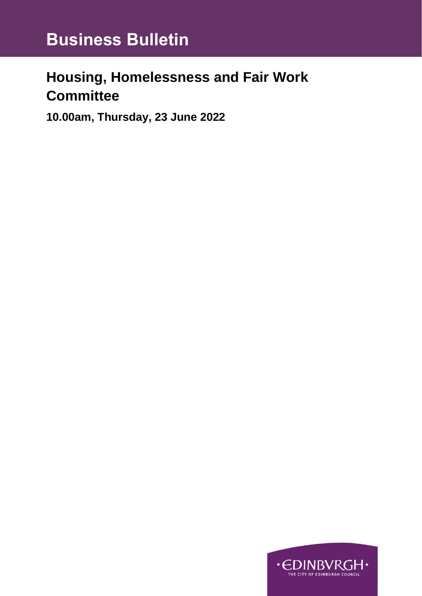## **Housing, Homelessness and Fair Work Committee**

**10.00am, Thursday, 23 June 2022**

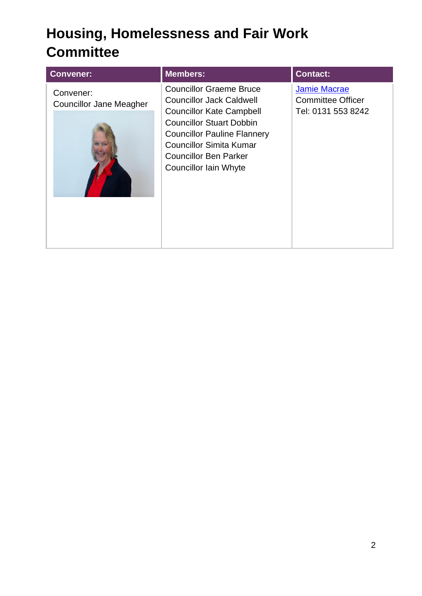# **Housing, Homelessness and Fair Work Committee**

| <b>Convener:</b>                            | <b>Members:</b>                                                                                                                                                                                                                                                          | <b>Contact:</b>                                                       |
|---------------------------------------------|--------------------------------------------------------------------------------------------------------------------------------------------------------------------------------------------------------------------------------------------------------------------------|-----------------------------------------------------------------------|
| Convener:<br><b>Councillor Jane Meagher</b> | <b>Councillor Graeme Bruce</b><br><b>Councillor Jack Caldwell</b><br><b>Councillor Kate Campbell</b><br><b>Councillor Stuart Dobbin</b><br><b>Councillor Pauline Flannery</b><br><b>Councillor Simita Kumar</b><br><b>Councillor Ben Parker</b><br>Councillor Iain Whyte | <b>Jamie Macrae</b><br><b>Committee Officer</b><br>Tel: 0131 553 8242 |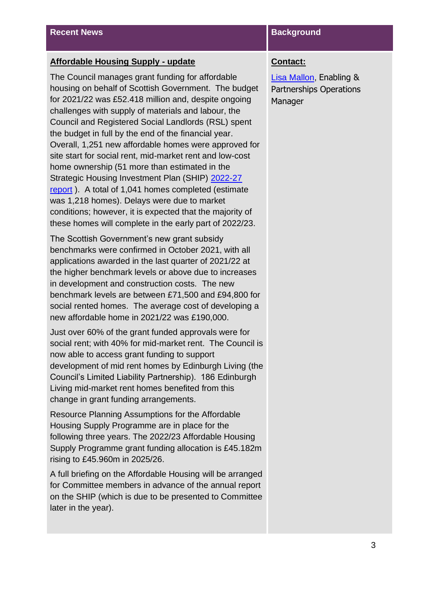### **Affordable Housing Supply - update**

The Council manages grant funding for affordable housing on behalf of Scottish Government. The budget for 2021/22 was £52.418 million and, despite ongoing challenges with supply of materials and labour, the Council and Registered Social Landlords (RSL) spent the budget in full by the end of the financial year. Overall, 1,251 new affordable homes were approved for site start for social rent, mid-market rent and low-cost home ownership (51 more than estimated in the Strategic Housing Investment Plan (SHIP) [2022-27](https://democracy.edinburgh.gov.uk/documents/s39972/7.5%20-%20Strategic%20Housing%20Investment%20Plan%20SHIP%202022-27.pdf)  [report](https://democracy.edinburgh.gov.uk/documents/s39972/7.5%20-%20Strategic%20Housing%20Investment%20Plan%20SHIP%202022-27.pdf) ). A total of 1,041 homes completed (estimate was 1,218 homes). Delays were due to market conditions; however, it is expected that the majority of these homes will complete in the early part of 2022/23.

The Scottish Government's new grant subsidy benchmarks were confirmed in October 2021, with all applications awarded in the last quarter of 2021/22 at the higher benchmark levels or above due to increases in development and construction costs. The new benchmark levels are between £71,500 and £94,800 for social rented homes. The average cost of developing a new affordable home in 2021/22 was £190,000.

Just over 60% of the grant funded approvals were for social rent; with 40% for mid-market rent. The Council is now able to access grant funding to support development of mid rent homes by Edinburgh Living (the Council's Limited Liability Partnership). 186 Edinburgh Living mid-market rent homes benefited from this change in grant funding arrangements.

Resource Planning Assumptions for the Affordable Housing Supply Programme are in place for the following three years. The 2022/23 Affordable Housing Supply Programme grant funding allocation is £45.182m rising to £45.960m in 2025/26.

A full briefing on the Affordable Housing will be arranged for Committee members in advance of the annual report on the SHIP (which is due to be presented to Committee later in the year).

### **Contact:**

[Lisa Mallon,](mailto:lisa.mallon@edinburgh.gov.uk) Enabling & Partnerships Operations Manager